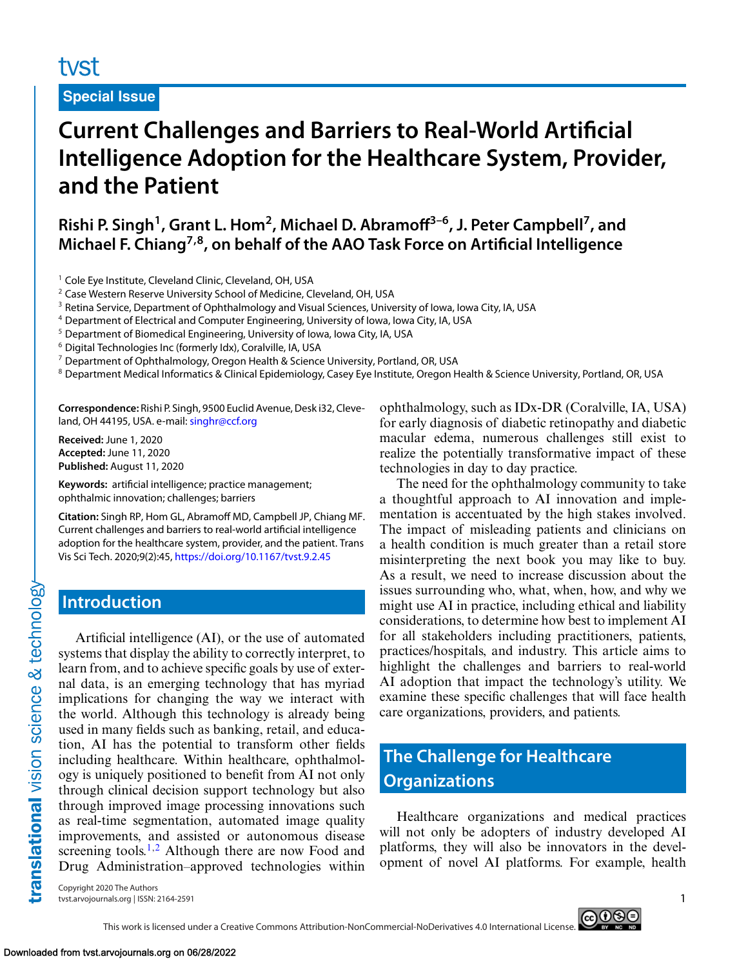# tyst

**Special Issue**

# **Current Challenges and Barriers to Real-World Artificial Intelligence Adoption for the Healthcare System, Provider, and the Patient**

**Rishi P. Singh1, Grant L. Hom2, Michael D. Abramoff3–6, J. Peter Campbell7, and Michael F. Chiang7,8, on behalf of the AAO Task Force on Artificial Intelligence**

- <sup>4</sup> Department of Electrical and Computer Engineering, University of Iowa, Iowa City, IA, USA
- <sup>5</sup> Department of Biomedical Engineering, University of Iowa, Iowa City, IA, USA
- <sup>6</sup> Digital Technologies Inc (formerly Idx), Coralville, IA, USA
- <sup>7</sup> Department of Ophthalmology, Oregon Health & Science University, Portland, OR, USA

<sup>8</sup> Department Medical Informatics & Clinical Epidemiology, Casey Eye Institute, Oregon Health & Science University, Portland, OR, USA

**Correspondence:** Rishi P. Singh, 9500 Euclid Avenue, Desk i32, Cleveland, OH 44195, USA. e-mail: [singhr@ccf.org](mailto:singhr@ccf.org)

**Received:** June 1, 2020 **Accepted:** June 11, 2020 **Published:** August 11, 2020

**Keywords:** artificial intelligence; practice management; ophthalmic innovation; challenges; barriers

**Citation:** Singh RP, Hom GL, Abramoff MD, Campbell JP, Chiang MF. Current challenges and barriers to real-world artificial intelligence adoption for the healthcare system, provider, and the patient. Trans Vis Sci Tech. 2020;9(2):45, <https://doi.org/10.1167/tvst.9.2.45>

## **Introduction**

translational vision science & technology

Artificial intelligence (AI), or the use of automated systems that display the ability to correctly interpret, to learn from, and to achieve specific goals by use of external data, is an emerging technology that has myriad implications for changing the way we interact with the world. Although this technology is already being used in many fields such as banking, retail, and education, AI has the potential to transform other fields including healthcare. Within healthcare, ophthalmology is uniquely positioned to benefit from AI not only through clinical decision support technology but also through improved image processing innovations such as real-time segmentation, automated image quality improvements, and assisted or autonomous disease screening tools.<sup>1,2</sup> Although there are now Food and Drug Administration–approved technologies within ophthalmology, such as IDx-DR (Coralville, IA, USA) for early diagnosis of diabetic retinopathy and diabetic macular edema, numerous challenges still exist to realize the potentially transformative impact of these technologies in day to day practice.

The need for the ophthalmology community to take a thoughtful approach to AI innovation and implementation is accentuated by the high stakes involved. The impact of misleading patients and clinicians on a health condition is much greater than a retail store misinterpreting the next book you may like to buy. As a result, we need to increase discussion about the issues surrounding who, what, when, how, and why we might use AI in practice, including ethical and liability considerations, to determine how best to implement AI for all stakeholders including practitioners, patients, practices/hospitals, and industry. This article aims to highlight the challenges and barriers to real-world AI adoption that impact the technology's utility. We examine these specific challenges that will face health care organizations, providers, and patients.

# **The Challenge for Healthcare Organizations**

Healthcare organizations and medical practices will not only be adopters of industry developed AI platforms, they will also be innovators in the development of novel AI platforms. For example, health

Copyright 2020 The Authors tvst.arvojournals.org | ISSN: 2164-2591 1



<sup>&</sup>lt;sup>1</sup> Cole Eye Institute, Cleveland Clinic, Cleveland, OH, USA

<sup>&</sup>lt;sup>2</sup> Case Western Reserve University School of Medicine, Cleveland, OH, USA

<sup>&</sup>lt;sup>3</sup> Retina Service, Department of Ophthalmology and Visual Sciences, University of Iowa, Iowa City, IA, USA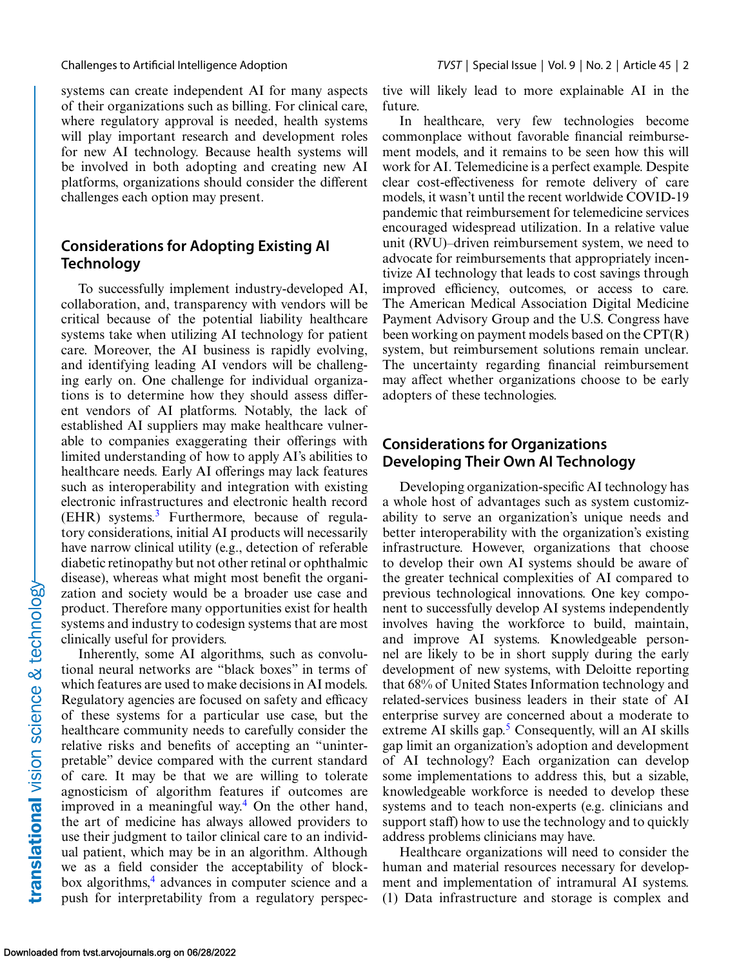systems can create independent AI for many aspects of their organizations such as billing. For clinical care, where regulatory approval is needed, health systems will play important research and development roles for new AI technology. Because health systems will be involved in both adopting and creating new AI platforms, organizations should consider the different challenges each option may present.

#### **Considerations for Adopting Existing AI Technology**

To successfully implement industry-developed AI, collaboration, and, transparency with vendors will be critical because of the potential liability healthcare systems take when utilizing AI technology for patient care. Moreover, the AI business is rapidly evolving, and identifying leading AI vendors will be challenging early on. One challenge for individual organizations is to determine how they should assess different vendors of AI platforms. Notably, the lack of established AI suppliers may make healthcare vulnerable to companies exaggerating their offerings with limited understanding of how to apply AI's abilities to healthcare needs. Early AI offerings may lack features such as interoperability and integration with existing electronic infrastructures and electronic health record  $(EHR)$  systems.<sup>3</sup> Furthermore, because of regulatory considerations, initial AI products will necessarily have narrow clinical utility (e.g., detection of referable diabetic retinopathy but not other retinal or ophthalmic disease), whereas what might most benefit the organization and society would be a broader use case and product. Therefore many opportunities exist for health systems and industry to codesign systems that are most clinically useful for providers.

Inherently, some AI algorithms, such as convolutional neural networks are "black boxes" in terms of which features are used to make decisions in AI models. Regulatory agencies are focused on safety and efficacy of these systems for a particular use case, but the healthcare community needs to carefully consider the relative risks and benefits of accepting an "uninterpretable" device compared with the current standard of care. It may be that we are willing to tolerate agnosticism of algorithm features if outcomes are improved in a meaningful way.[4](#page-5-0) On the other hand, the art of medicine has always allowed providers to use their judgment to tailor clinical care to an individual patient, which may be in an algorithm. Although we as a field consider the acceptability of block-box algorithms,<sup>[4](#page-5-0)</sup> advances in computer science and a push for interpretability from a regulatory perspective will likely lead to more explainable AI in the future.

In healthcare, very few technologies become commonplace without favorable financial reimbursement models, and it remains to be seen how this will work for AI. Telemedicine is a perfect example. Despite clear cost-effectiveness for remote delivery of care models, it wasn't until the recent worldwide COVID-19 pandemic that reimbursement for telemedicine services encouraged widespread utilization. In a relative value unit (RVU)–driven reimbursement system, we need to advocate for reimbursements that appropriately incentivize AI technology that leads to cost savings through improved efficiency, outcomes, or access to care. The American Medical Association Digital Medicine Payment Advisory Group and the U.S. Congress have been working on payment models based on the CPT(R) system, but reimbursement solutions remain unclear. The uncertainty regarding financial reimbursement may affect whether organizations choose to be early adopters of these technologies.

#### **Considerations for Organizations Developing Their Own AI Technology**

Developing organization-specific AI technology has a whole host of advantages such as system customizability to serve an organization's unique needs and better interoperability with the organization's existing infrastructure. However, organizations that choose to develop their own AI systems should be aware of the greater technical complexities of AI compared to previous technological innovations. One key component to successfully develop AI systems independently involves having the workforce to build, maintain, and improve AI systems. Knowledgeable personnel are likely to be in short supply during the early development of new systems, with Deloitte reporting that 68% of United States Information technology and related-services business leaders in their state of AI enterprise survey are concerned about a moderate to extreme AI skills gap.<sup>[5](#page-5-0)</sup> Consequently, will an AI skills gap limit an organization's adoption and development of AI technology? Each organization can develop some implementations to address this, but a sizable, knowledgeable workforce is needed to develop these systems and to teach non-experts (e.g. clinicians and support staff) how to use the technology and to quickly address problems clinicians may have.

Healthcare organizations will need to consider the human and material resources necessary for development and implementation of intramural AI systems. (1) Data infrastructure and storage is complex and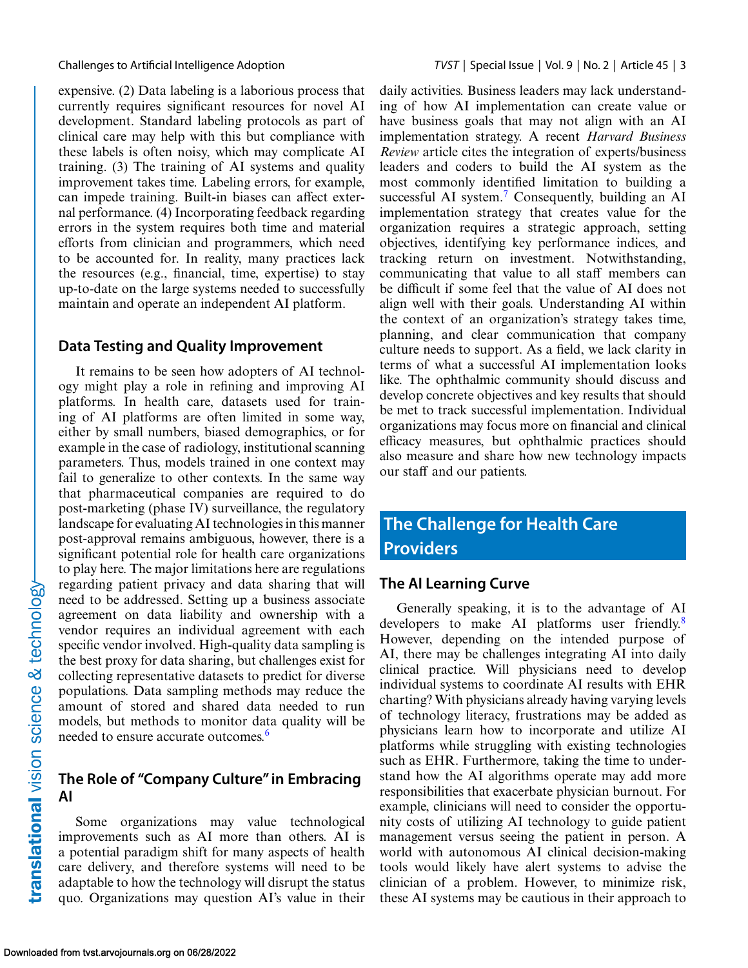expensive. (2) Data labeling is a laborious process that currently requires significant resources for novel AI development. Standard labeling protocols as part of clinical care may help with this but compliance with these labels is often noisy, which may complicate AI training. (3) The training of AI systems and quality improvement takes time. Labeling errors, for example, can impede training. Built-in biases can affect external performance. (4) Incorporating feedback regarding errors in the system requires both time and material efforts from clinician and programmers, which need to be accounted for. In reality, many practices lack the resources (e.g., financial, time, expertise) to stay up-to-date on the large systems needed to successfully maintain and operate an independent AI platform.

#### **Data Testing and Quality Improvement**

It remains to be seen how adopters of AI technology might play a role in refining and improving AI platforms. In health care, datasets used for training of AI platforms are often limited in some way, either by small numbers, biased demographics, or for example in the case of radiology, institutional scanning parameters. Thus, models trained in one context may fail to generalize to other contexts. In the same way that pharmaceutical companies are required to do post-marketing (phase IV) surveillance, the regulatory landscape for evaluating AI technologies in this manner post-approval remains ambiguous, however, there is a significant potential role for health care organizations to play here. The major limitations here are regulations regarding patient privacy and data sharing that will need to be addressed. Setting up a business associate agreement on data liability and ownership with a vendor requires an individual agreement with each specific vendor involved. High-quality data sampling is the best proxy for data sharing, but challenges exist for collecting representative datasets to predict for diverse populations. Data sampling methods may reduce the amount of stored and shared data needed to run models, but methods to monitor data quality will be needed to ensure accurate outcomes.<sup>[6](#page-5-0)</sup>

#### **The Role of "Company Culture" in Embracing AI**

Some organizations may value technological improvements such as AI more than others. AI is a potential paradigm shift for many aspects of health care delivery, and therefore systems will need to be adaptable to how the technology will disrupt the status quo. Organizations may question AI's value in their daily activities. Business leaders may lack understanding of how AI implementation can create value or have business goals that may not align with an AI implementation strategy. A recent *Harvard Business Review* article cites the integration of experts/business leaders and coders to build the AI system as the most commonly identified limitation to building a successful AI system.<sup>[7](#page-5-0)</sup> Consequently, building an AI implementation strategy that creates value for the organization requires a strategic approach, setting objectives, identifying key performance indices, and tracking return on investment. Notwithstanding, communicating that value to all staff members can be difficult if some feel that the value of AI does not align well with their goals. Understanding AI within the context of an organization's strategy takes time, planning, and clear communication that company culture needs to support. As a field, we lack clarity in terms of what a successful AI implementation looks like. The ophthalmic community should discuss and develop concrete objectives and key results that should be met to track successful implementation. Individual organizations may focus more on financial and clinical efficacy measures, but ophthalmic practices should also measure and share how new technology impacts our staff and our patients.

# **The Challenge for Health Care Providers**

#### **The AI Learning Curve**

Generally speaking, it is to the advantage of AI developers to make AI platforms user friendly.<sup>[8](#page-5-0)</sup> However, depending on the intended purpose of AI, there may be challenges integrating AI into daily clinical practice. Will physicians need to develop individual systems to coordinate AI results with EHR charting? With physicians already having varying levels of technology literacy, frustrations may be added as physicians learn how to incorporate and utilize AI platforms while struggling with existing technologies such as EHR. Furthermore, taking the time to understand how the AI algorithms operate may add more responsibilities that exacerbate physician burnout. For example, clinicians will need to consider the opportunity costs of utilizing AI technology to guide patient management versus seeing the patient in person. A world with autonomous AI clinical decision-making tools would likely have alert systems to advise the clinician of a problem. However, to minimize risk, these AI systems may be cautious in their approach to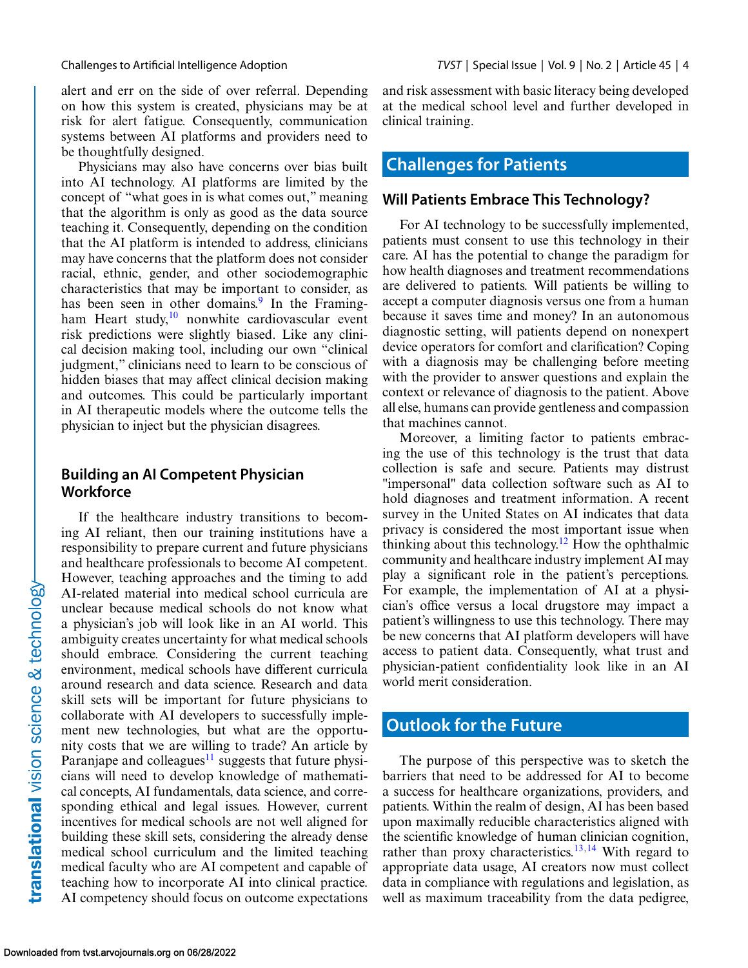alert and err on the side of over referral. Depending on how this system is created, physicians may be at risk for alert fatigue. Consequently, communication systems between AI platforms and providers need to be thoughtfully designed.

Physicians may also have concerns over bias built into AI technology. AI platforms are limited by the concept of "what goes in is what comes out," meaning that the algorithm is only as good as the data source teaching it. Consequently, depending on the condition that the AI platform is intended to address, clinicians may have concerns that the platform does not consider racial, ethnic, gender, and other sociodemographic characteristics that may be important to consider, as has been seen in other domains.<sup>9</sup> In the Framingham Heart study, $10$  nonwhite cardiovascular event risk predictions were slightly biased. Like any clinical decision making tool, including our own "clinical judgment," clinicians need to learn to be conscious of hidden biases that may affect clinical decision making and outcomes. This could be particularly important in AI therapeutic models where the outcome tells the physician to inject but the physician disagrees.

#### **Building an AI Competent Physician Workforce**

If the healthcare industry transitions to becoming AI reliant, then our training institutions have a responsibility to prepare current and future physicians and healthcare professionals to become AI competent. However, teaching approaches and the timing to add AI-related material into medical school curricula are unclear because medical schools do not know what a physician's job will look like in an AI world. This ambiguity creates uncertainty for what medical schools should embrace. Considering the current teaching environment, medical schools have different curricula around research and data science. Research and data skill sets will be important for future physicians to collaborate with AI developers to successfully implement new technologies, but what are the opportunity costs that we are willing to trade? An article by Paranjape and colleagues $11$  suggests that future physicians will need to develop knowledge of mathematical concepts, AI fundamentals, data science, and corresponding ethical and legal issues. However, current incentives for medical schools are not well aligned for building these skill sets, considering the already dense medical school curriculum and the limited teaching medical faculty who are AI competent and capable of teaching how to incorporate AI into clinical practice. AI competency should focus on outcome expectations and risk assessment with basic literacy being developed at the medical school level and further developed in clinical training.

### **Challenges for Patients**

#### **Will Patients Embrace This Technology?**

For AI technology to be successfully implemented, patients must consent to use this technology in their care. AI has the potential to change the paradigm for how health diagnoses and treatment recommendations are delivered to patients. Will patients be willing to accept a computer diagnosis versus one from a human because it saves time and money? In an autonomous diagnostic setting, will patients depend on nonexpert device operators for comfort and clarification? Coping with a diagnosis may be challenging before meeting with the provider to answer questions and explain the context or relevance of diagnosis to the patient. Above all else, humans can provide gentleness and compassion that machines cannot.

Moreover, a limiting factor to patients embracing the use of this technology is the trust that data collection is safe and secure. Patients may distrust "impersonal" data collection software such as AI to hold diagnoses and treatment information. A recent survey in the United States on AI indicates that data privacy is considered the most important issue when thinking about this technology.<sup>12</sup> How the ophthalmic community and healthcare industry implement AI may play a significant role in the patient's perceptions. For example, the implementation of AI at a physician's office versus a local drugstore may impact a patient's willingness to use this technology. There may be new concerns that AI platform developers will have access to patient data. Consequently, what trust and physician-patient confidentiality look like in an AI world merit consideration.

### **Outlook for the Future**

The purpose of this perspective was to sketch the barriers that need to be addressed for AI to become a success for healthcare organizations, providers, and patients. Within the realm of design, AI has been based upon maximally reducible characteristics aligned with the scientific knowledge of human clinician cognition, rather than proxy characteristics.<sup>13,14</sup> With regard to appropriate data usage, AI creators now must collect data in compliance with regulations and legislation, as well as maximum traceability from the data pedigree,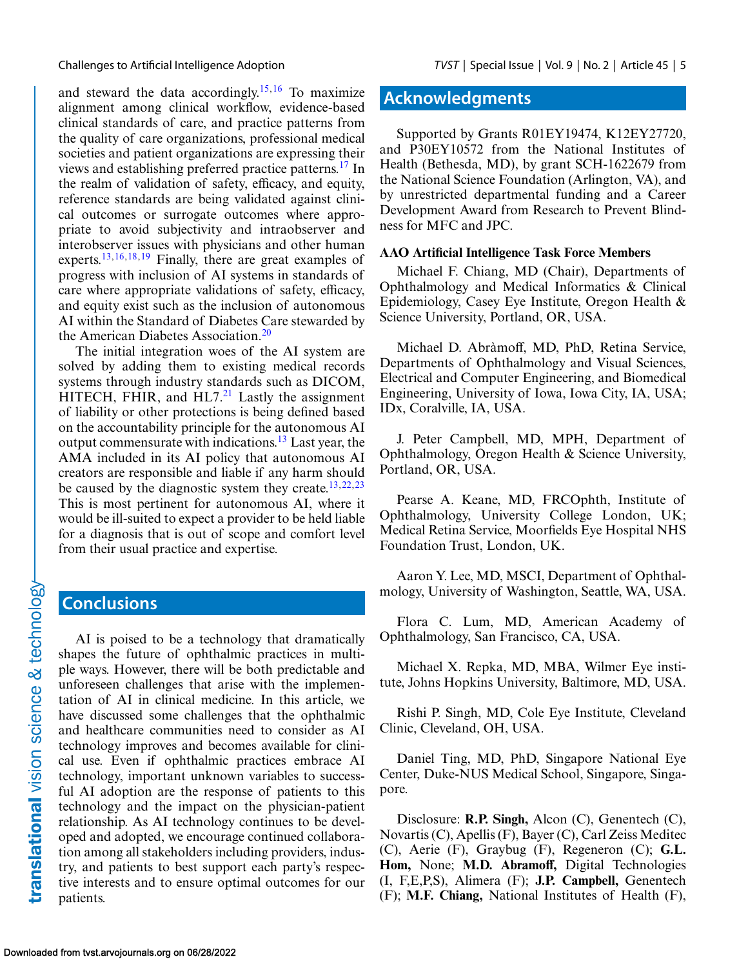and steward the data accordingly.<sup>15,16</sup> To maximize alignment among clinical workflow, evidence-based clinical standards of care, and practice patterns from the quality of care organizations, professional medical societies and patient organizations are expressing their views and establishing preferred practice patterns[.17](#page-5-0) In the realm of validation of safety, efficacy, and equity, reference standards are being validated against clinical outcomes or surrogate outcomes where appropriate to avoid subjectivity and intraobserver and interobserver issues with physicians and other human experts.<sup>13,16,18,19</sup> Finally, there are great examples of progress with inclusion of AI systems in standards of care where appropriate validations of safety, efficacy, and equity exist such as the inclusion of autonomous AI within the Standard of Diabetes Care stewarded by the American Diabetes Association.<sup>[20](#page-5-0)</sup>

The initial integration woes of the AI system are solved by adding them to existing medical records systems through industry standards such as DICOM, HITECH, FHIR, and  $HL7<sup>21</sup>$  $HL7<sup>21</sup>$  $HL7<sup>21</sup>$  Lastly the assignment of liability or other protections is being defined based on the accountability principle for the autonomous AI output commensurate with indications[.13](#page-5-0) Last year, the AMA included in its AI policy that autonomous AI creators are responsible and liable if any harm should be caused by the diagnostic system they create.<sup>[13,22,23](#page-5-0)</sup> This is most pertinent for autonomous AI, where it would be ill-suited to expect a provider to be held liable for a diagnosis that is out of scope and comfort level from their usual practice and expertise.

### **Conclusions**

AI is poised to be a technology that dramatically shapes the future of ophthalmic practices in multiple ways. However, there will be both predictable and unforeseen challenges that arise with the implementation of AI in clinical medicine. In this article, we have discussed some challenges that the ophthalmic and healthcare communities need to consider as AI technology improves and becomes available for clinical use. Even if ophthalmic practices embrace AI technology, important unknown variables to successful AI adoption are the response of patients to this technology and the impact on the physician-patient relationship. As AI technology continues to be developed and adopted, we encourage continued collaboration among all stakeholders including providers, industry, and patients to best support each party's respective interests and to ensure optimal outcomes for our patients.

#### **Acknowledgments**

Supported by Grants R01EY19474, K12EY27720, and P30EY10572 from the National Institutes of Health (Bethesda, MD), by grant SCH-1622679 from the National Science Foundation (Arlington, VA), and by unrestricted departmental funding and a Career Development Award from Research to Prevent Blindness for MFC and JPC.

Michael F. Chiang, MD (Chair), Departments of Ophthalmology and Medical Informatics & Clinical Epidemiology, Casey Eye Institute, Oregon Health & Science University, Portland, OR, USA.

Michael D. Abràmoff, MD, PhD, Retina Service, Departments of Ophthalmology and Visual Sciences, Electrical and Computer Engineering, and Biomedical Engineering, University of Iowa, Iowa City, IA, USA; IDx, Coralville, IA, USA.

J. Peter Campbell, MD, MPH, Department of Ophthalmology, Oregon Health & Science University, Portland, OR, USA.

Pearse A. Keane, MD, FRCOphth, Institute of Ophthalmology, University College London, UK; Medical Retina Service, Moorfields Eye Hospital NHS Foundation Trust, London, UK.

Aaron Y. Lee, MD, MSCI, Department of Ophthalmology, University of Washington, Seattle, WA, USA.

Flora C. Lum, MD, American Academy of Ophthalmology, San Francisco, CA, USA.

Michael X. Repka, MD, MBA, Wilmer Eye institute, Johns Hopkins University, Baltimore, MD, USA.

Rishi P. Singh, MD, Cole Eye Institute, Cleveland Clinic, Cleveland, OH, USA.

Daniel Ting, MD, PhD, Singapore National Eye Center, Duke-NUS Medical School, Singapore, Singapore.

Disclosure: **R.P. Singh,** Alcon (C), Genentech (C), Novartis (C), Apellis (F), Bayer (C), Carl Zeiss Meditec (C), Aerie (F), Graybug (F), Regeneron (C); **G.L. Hom,** None; **M.D. Abramoff,** Digital Technologies (I, F,E,P,S), Alimera (F); **J.P. Campbell,** Genentech (F); **M.F. Chiang,** National Institutes of Health (F),